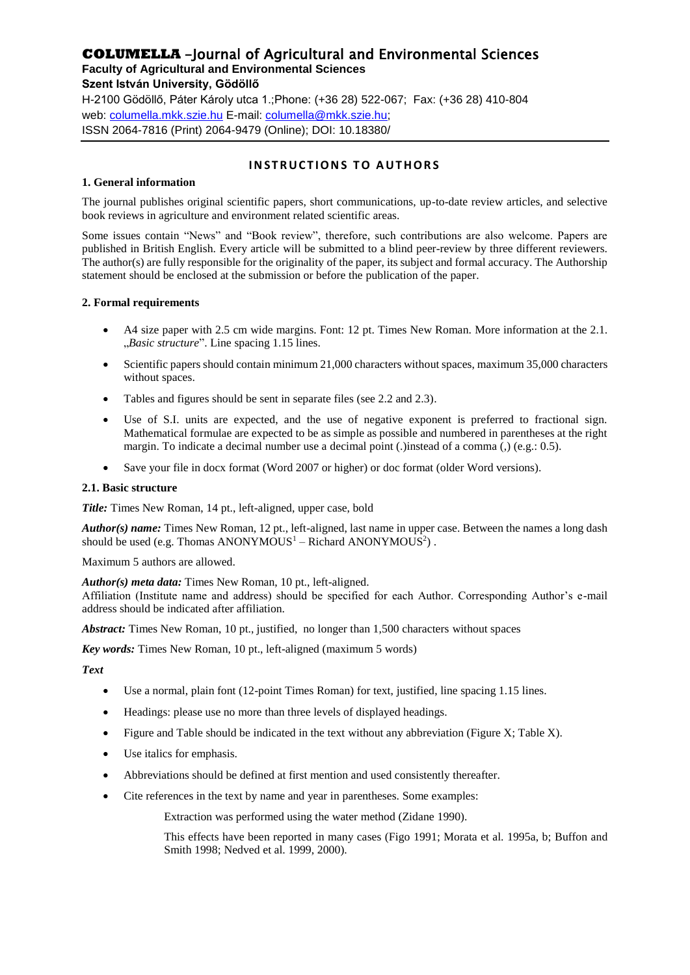# **COLUMELLA** -Journal of Agricultural and Environmental Sciences

**Faculty of Agricultural and Environmental Sciences**

#### **Szent István University, Gödöllő**

H-2100 Gödöllő, Páter Károly utca 1.;Phone: (+36 28) 522-067; Fax: (+36 28) 410-804 web: [columella.mkk.szie.hu](http://www.columella.mkk.szie.hu/) E-mail: [columella@mkk.szie.hu;](mailto:columella@mkk.szie.hu) ISSN 2064-7816 (Print) 2064-9479 (Online); DOI: 10.18380/

## **INSTRUCTIONS TO AUTHORS**

#### **1. General information**

The journal publishes original scientific papers, short communications, up-to-date review articles, and selective book reviews in agriculture and environment related scientific areas.

Some issues contain "News" and "Book review", therefore, such contributions are also welcome. Papers are published in British English. Every article will be submitted to a blind peer-review by three different reviewers. The author(s) are fully responsible for the originality of the paper, its subject and formal accuracy. The Authorship statement should be enclosed at the submission or before the publication of the paper.

#### **2. Formal requirements**

- A4 size paper with 2.5 cm wide margins. Font: 12 pt. Times New Roman. More information at the 2.1. "*Basic structure*". Line spacing 1.15 lines.
- Scientific papers should contain minimum 21,000 characters without spaces, maximum 35,000 characters without spaces.
- Tables and figures should be sent in separate files (see 2.2 and 2.3).
- Use of S.I. units are expected, and the use of negative exponent is preferred to fractional sign. Mathematical formulae are expected to be as simple as possible and numbered in parentheses at the right margin. To indicate a decimal number use a decimal point (.)instead of a comma (.) (e.g.: 0.5).
- Save your file in docx format (Word 2007 or higher) or doc format (older Word versions).

#### **2.1. Basic structure**

*Title:* Times New Roman, 14 pt., left-aligned, upper case, bold

*Author(s) name:* Times New Roman, 12 pt., left-aligned, last name in upper case. Between the names a long dash should be used (e.g. Thomas ANONYMOUS $<sup>1</sup>$  – Richard ANONYMOUS $<sup>2</sup>$ ).</sup></sup>

Maximum 5 authors are allowed.

*Author(s) meta data:* Times New Roman, 10 pt., left-aligned.

Affiliation (Institute name and address) should be specified for each Author. Corresponding Author's e-mail address should be indicated after affiliation.

*Abstract:* Times New Roman, 10 pt., justified, no longer than 1,500 characters without spaces

*Key words:* Times New Roman, 10 pt., left-aligned (maximum 5 words)

*Text*

- Use a normal, plain font (12-point Times Roman) for text, justified, line spacing 1.15 lines.
- Headings: please use no more than three levels of displayed headings.
- $\bullet$  Figure and Table should be indicated in the text without any abbreviation (Figure X; Table X).
- Use italics for emphasis.
- Abbreviations should be defined at first mention and used consistently thereafter.
- Cite references in the text by name and year in parentheses. Some examples:

Extraction was performed using the water method (Zidane 1990).

This effects have been reported in many cases (Figo 1991; Morata et al. 1995a, b; Buffon and Smith 1998; Nedved et al. 1999, 2000).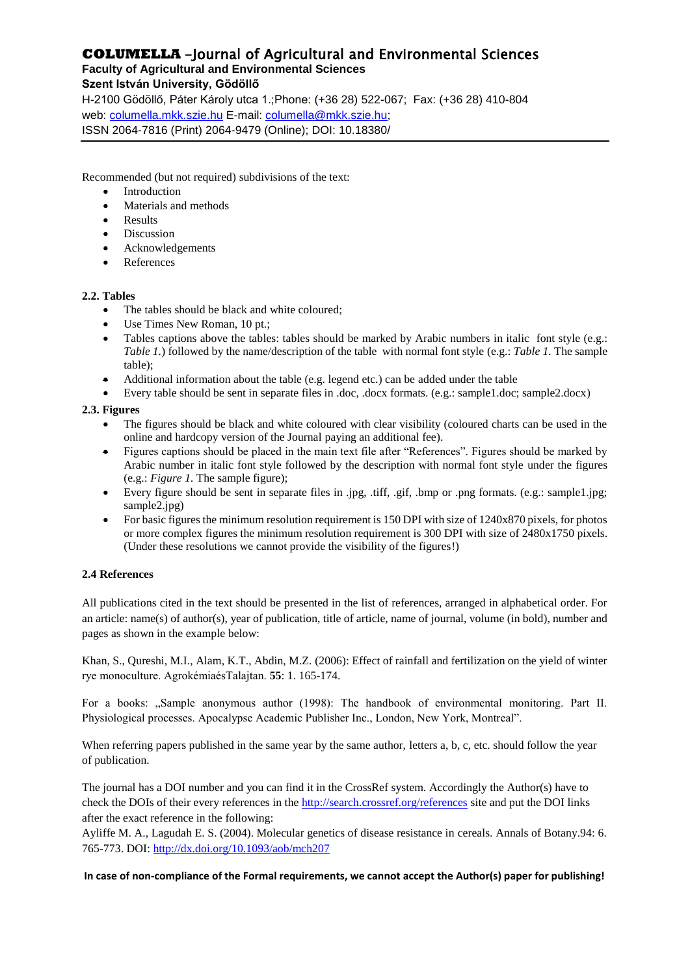# **COLUMELLA** -Journal of Agricultural and Environmental Sciences

**Faculty of Agricultural and Environmental Sciences**

## **Szent István University, Gödöllő**

H-2100 Gödöllő, Páter Károly utca 1.;Phone: (+36 28) 522-067; Fax: (+36 28) 410-804 web: [columella.mkk.szie.hu](http://www.columella.mkk.szie.hu/) E-mail: [columella@mkk.szie.hu;](mailto:columella@mkk.szie.hu) ISSN 2064-7816 (Print) 2064-9479 (Online); DOI: 10.18380/

Recommended (but not required) subdivisions of the text:

- Introduction
- Materials and methods
- Results
- Discussion
- Acknowledgements
- References

#### **2.2. Tables**

- The tables should be black and white coloured;
- Use Times New Roman, 10 pt.;
- Tables captions above the tables: tables should be marked by Arabic numbers in italic font style (e.g.: *Table 1.*) followed by the name/description of the table with normal font style (e.g.: *Table 1.* The sample table);
- Additional information about the table (e.g. legend etc.) can be added under the table
- Every table should be sent in separate files in .doc, .docx formats. (e.g.: sample1.doc; sample2.docx)

#### **2.3. Figures**

- The figures should be black and white coloured with clear visibility (coloured charts can be used in the online and hardcopy version of the Journal paying an additional fee).
- Figures captions should be placed in the main text file after "References". Figures should be marked by Arabic number in italic font style followed by the description with normal font style under the figures (e.g.: *Figure 1.* The sample figure);
- Every figure should be sent in separate files in .jpg, .tiff, .gif, .bmp or .png formats. (e.g.: sample1.jpg; sample2.jpg)
- For basic figures the minimum resolution requirement is 150 DPI with size of 1240x870 pixels, for photos or more complex figures the minimum resolution requirement is 300 DPI with size of 2480x1750 pixels. (Under these resolutions we cannot provide the visibility of the figures!)

## **2.4 References**

All publications cited in the text should be presented in the list of references, arranged in alphabetical order. For an article: name(s) of author(s), year of publication, title of article, name of journal, volume (in bold), number and pages as shown in the example below:

Khan, S., Qureshi, M.I., Alam, K.T., Abdin, M.Z. (2006): Effect of rainfall and fertilization on the yield of winter rye monoculture. AgrokémiaésTalajtan. **55**: 1. 165-174.

For a books: "Sample anonymous author (1998): The handbook of environmental monitoring. Part II. Physiological processes. Apocalypse Academic Publisher Inc., London, New York, Montreal".

When referring papers published in the same year by the same author, letters a, b, c, etc. should follow the year of publication.

The journal has a DOI number and you can find it in the CrossRef system. Accordingly the Author(s) have to check the DOIs of their every references in the<http://search.crossref.org/references> site and put the DOI links after the exact reference in the following:

Ayliffe M. A., Lagudah E. S. (2004). Molecular genetics of disease resistance in cereals. Annals of Botany.94: 6. 765-773. DOI:<http://dx.doi.org/10.1093/aob/mch207>

#### **In case of non-compliance of the Formal requirements, we cannot accept the Author(s) paper for publishing!**